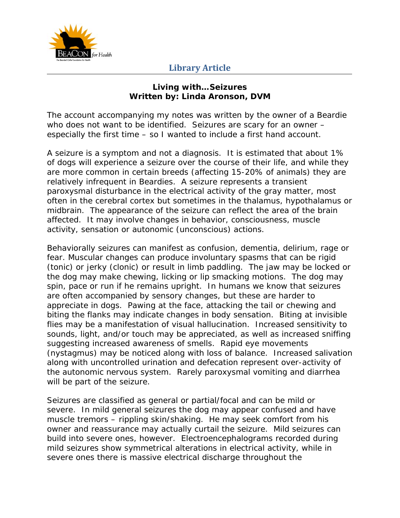

#### **Living with…Seizures Written by: Linda Aronson, DVM**

The account accompanying my notes was written by the owner of a Beardie who does not want to be identified. Seizures are scary for an owner – especially the first time – so I wanted to include a first hand account.

A seizure is a symptom and not a diagnosis. It is estimated that about 1% of dogs will experience a seizure over the course of their life, and while they are more common in certain breeds (affecting 15-20% of animals) they are relatively infrequent in Beardies. A seizure represents a transient paroxysmal disturbance in the electrical activity of the gray matter, most often in the cerebral cortex but sometimes in the thalamus, hypothalamus or midbrain. The appearance of the seizure can reflect the area of the brain affected. It may involve changes in behavior, consciousness, muscle activity, sensation or autonomic (unconscious) actions.

Behaviorally seizures can manifest as confusion, dementia, delirium, rage or fear. Muscular changes can produce involuntary spasms that can be rigid (tonic) or jerky (clonic) or result in limb paddling. The jaw may be locked or the dog may make chewing, licking or lip smacking motions. The dog may spin, pace or run if he remains upright. In humans we know that seizures are often accompanied by sensory changes, but these are harder to appreciate in dogs. Pawing at the face, attacking the tail or chewing and biting the flanks may indicate changes in body sensation. Biting at invisible flies may be a manifestation of visual hallucination. Increased sensitivity to sounds, light, and/or touch may be appreciated, as well as increased sniffing suggesting increased awareness of smells. Rapid eye movements (nystagmus) may be noticed along with loss of balance. Increased salivation along with uncontrolled urination and defecation represent over-activity of the autonomic nervous system. Rarely paroxysmal vomiting and diarrhea will be part of the seizure.

Seizures are classified as general or partial/focal and can be mild or severe. In mild general seizures the dog may appear confused and have muscle tremors – rippling skin/shaking. He may seek comfort from his owner and reassurance may actually curtail the seizure. Mild seizures can build into severe ones, however. Electroencephalograms recorded during mild seizures show symmetrical alterations in electrical activity, while in severe ones there is massive electrical discharge throughout the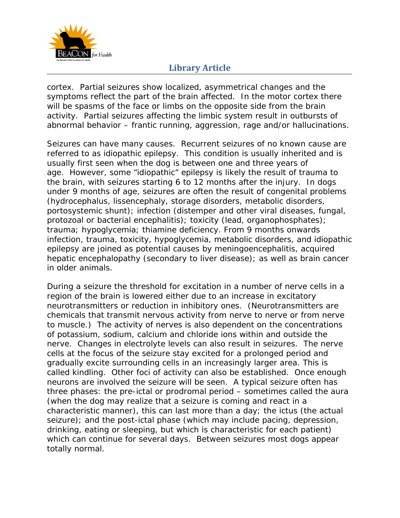

cortex. Partial seizures show localized, asymmetrical changes and the symptoms reflect the part of the brain affected. In the motor cortex there will be spasms of the face or limbs on the opposite side from the brain activity. Partial seizures affecting the limbic system result in outbursts of abnormal behavior – frantic running, aggression, rage and/or hallucinations.

Seizures can have many causes. Recurrent seizures of no known cause are referred to as idiopathic epilepsy. This condition is usually inherited and is usually first seen when the dog is between one and three years of age. However, some "idiopathic" epilepsy is likely the result of trauma to the brain, with seizures starting 6 to 12 months after the injury. In dogs under 9 months of age, seizures are often the result of congenital problems (hydrocephalus, lissencephaly, storage disorders, metabolic disorders, portosystemic shunt); infection (distemper and other viral diseases, fungal, protozoal or bacterial encephalitis); toxicity (lead, organophosphates); trauma; hypoglycemia; thiamine deficiency. From 9 months onwards infection, trauma, toxicity, hypoglycemia, metabolic disorders, and idiopathic epilepsy are joined as potential causes by meningoencephalitis, acquired hepatic encephalopathy (secondary to liver disease); as well as brain cancer in older animals.

During a seizure the threshold for excitation in a number of nerve cells in a region of the brain is lowered either due to an increase in excitatory neurotransmitters or reduction in inhibitory ones. (Neurotransmitters are chemicals that transmit nervous activity from nerve to nerve or from nerve to muscle.) The activity of nerves is also dependent on the concentrations of potassium, sodium, calcium and chloride ions within and outside the nerve. Changes in electrolyte levels can also result in seizures. The nerve cells at the focus of the seizure stay excited for a prolonged period and gradually excite surrounding cells in an increasingly larger area. This is called kindling. Other foci of activity can also be established. Once enough neurons are involved the seizure will be seen. A typical seizure often has three phases: the pre-ictal or prodromal period – sometimes called the aura (when the dog may realize that a seizure is coming and react in a characteristic manner), this can last more than a day; the ictus (the actual seizure); and the post-ictal phase (which may include pacing, depression, drinking, eating or sleeping, but which is characteristic for each patient) which can continue for several days. Between seizures most dogs appear totally normal.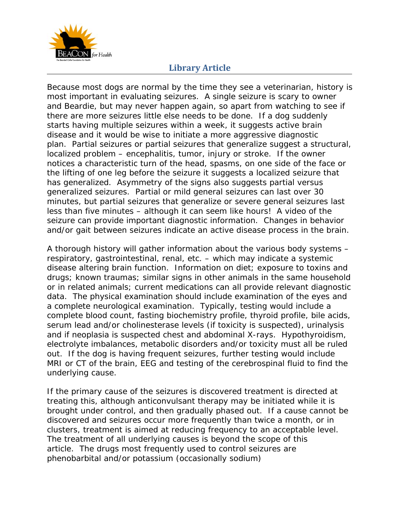

Because most dogs are normal by the time they see a veterinarian, history is most important in evaluating seizures. A single seizure is scary to owner and Beardie, but may never happen again, so apart from watching to see if there are more seizures little else needs to be done. If a dog suddenly starts having multiple seizures within a week, it suggests active brain disease and it would be wise to initiate a more aggressive diagnostic plan. Partial seizures or partial seizures that generalize suggest a structural, localized problem – encephalitis, tumor, injury or stroke. If the owner notices a characteristic turn of the head, spasms, on one side of the face or the lifting of one leg before the seizure it suggests a localized seizure that has generalized. Asymmetry of the signs also suggests partial versus generalized seizures. Partial or mild general seizures can last over 30 minutes, but partial seizures that generalize or severe general seizures last less than five minutes – although it can seem like hours! A video of the seizure can provide important diagnostic information. Changes in behavior and/or gait between seizures indicate an active disease process in the brain.

A thorough history will gather information about the various body systems – respiratory, gastrointestinal, renal, etc. – which may indicate a systemic disease altering brain function. Information on diet; exposure to toxins and drugs; known traumas; similar signs in other animals in the same household or in related animals; current medications can all provide relevant diagnostic data. The physical examination should include examination of the eyes and a complete neurological examination. Typically, testing would include a complete blood count, fasting biochemistry profile, thyroid profile, bile acids, serum lead and/or cholinesterase levels (if toxicity is suspected), urinalysis and if neoplasia is suspected chest and abdominal X-rays. Hypothyroidism, electrolyte imbalances, metabolic disorders and/or toxicity must all be ruled out. If the dog is having frequent seizures, further testing would include MRI or CT of the brain, EEG and testing of the cerebrospinal fluid to find the underlying cause.

If the primary cause of the seizures is discovered treatment is directed at treating this, although anticonvulsant therapy may be initiated while it is brought under control, and then gradually phased out. If a cause cannot be discovered and seizures occur more frequently than twice a month, or in clusters, treatment is aimed at reducing frequency to an acceptable level. The treatment of all underlying causes is beyond the scope of this article. The drugs most frequently used to control seizures are phenobarbital and/or potassium (occasionally sodium)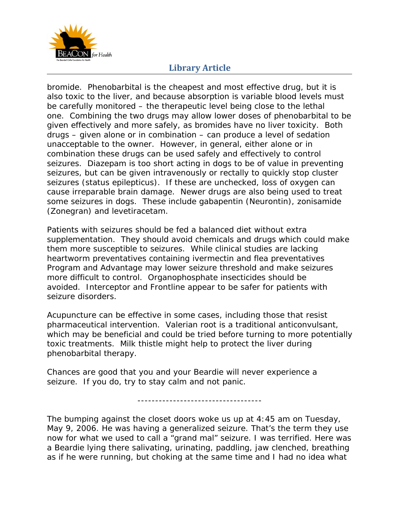

bromide. Phenobarbital is the cheapest and most effective drug, but it is also toxic to the liver, and because absorption is variable blood levels must be carefully monitored – the therapeutic level being close to the lethal one. Combining the two drugs may allow lower doses of phenobarbital to be given effectively and more safely, as bromides have no liver toxicity. Both drugs – given alone or in combination – can produce a level of sedation unacceptable to the owner. However, in general, either alone or in combination these drugs can be used safely and effectively to control seizures. Diazepam is too short acting in dogs to be of value in preventing seizures, but can be given intravenously or rectally to quickly stop cluster seizures (status epilepticus). If these are unchecked, loss of oxygen can cause irreparable brain damage. Newer drugs are also being used to treat some seizures in dogs. These include gabapentin (Neurontin), zonisamide (Zonegran) and levetiracetam.

Patients with seizures should be fed a balanced diet without extra supplementation. They should avoid chemicals and drugs which could make them more susceptible to seizures. While clinical studies are lacking heartworm preventatives containing ivermectin and flea preventatives Program and Advantage may lower seizure threshold and make seizures more difficult to control. Organophosphate insecticides should be avoided. Interceptor and Frontline appear to be safer for patients with seizure disorders.

Acupuncture can be effective in some cases, including those that resist pharmaceutical intervention. Valerian root is a traditional anticonvulsant, which may be beneficial and could be tried before turning to more potentially toxic treatments. Milk thistle might help to protect the liver during phenobarbital therapy.

Chances are good that you and your Beardie will never experience a seizure. If you do, try to stay calm and not panic.

-----------------------------------

The bumping against the closet doors woke us up at 4:45 am on Tuesday, May 9, 2006. He was having a generalized seizure. That's the term they use now for what we used to call a "grand mal" seizure. I was terrified. Here was a Beardie lying there salivating, urinating, paddling, jaw clenched, breathing as if he were running, but choking at the same time and I had no idea what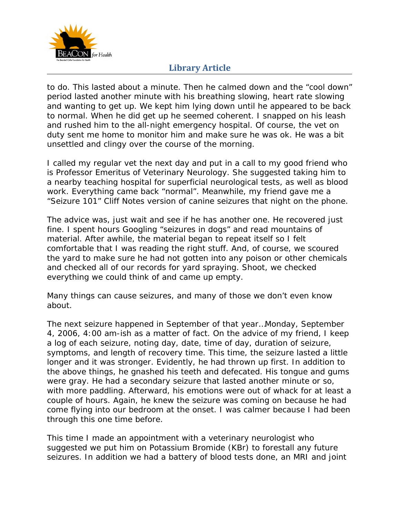

to do. This lasted about a minute. Then he calmed down and the "cool down" period lasted another minute with his breathing slowing, heart rate slowing and wanting to get up. We kept him lying down until he appeared to be back to normal. When he did get up he seemed coherent. I snapped on his leash and rushed him to the all-night emergency hospital. Of course, the vet on duty sent me home to monitor him and make sure he was ok. He was a bit unsettled and clingy over the course of the morning.

I called my regular vet the next day and put in a call to my good friend who is Professor Emeritus of Veterinary Neurology. She suggested taking him to a nearby teaching hospital for superficial neurological tests, as well as blood work. Everything came back "normal". Meanwhile, my friend gave me a "Seizure 101" Cliff Notes version of canine seizures that night on the phone.

The advice was, just wait and see if he has another one. He recovered just fine. I spent hours Googling "seizures in dogs" and read mountains of material. After awhile, the material began to repeat itself so I felt comfortable that I was reading the right stuff. And, of course, we scoured the yard to make sure he had not gotten into any poison or other chemicals and checked all of our records for yard spraying. Shoot, we checked everything we could think of and came up empty.

Many things can cause seizures, and many of those we don't even know about.

The next seizure happened in September of that year…Monday, September 4, 2006, 4:00 am-ish as a matter of fact. On the advice of my friend, I keep a log of each seizure, noting day, date, time of day, duration of seizure, symptoms, and length of recovery time. This time, the seizure lasted a little longer and it was stronger. Evidently, he had thrown up first. In addition to the above things, he gnashed his teeth and defecated. His tongue and gums were gray. He had a secondary seizure that lasted another minute or so, with more paddling. Afterward, his emotions were out of whack for at least a couple of hours. Again, he knew the seizure was coming on because he had come flying into our bedroom at the onset. I was calmer because I had been through this one time before.

This time I made an appointment with a veterinary neurologist who suggested we put him on Potassium Bromide (KBr) to forestall any future seizures. In addition we had a battery of blood tests done, an MRI and joint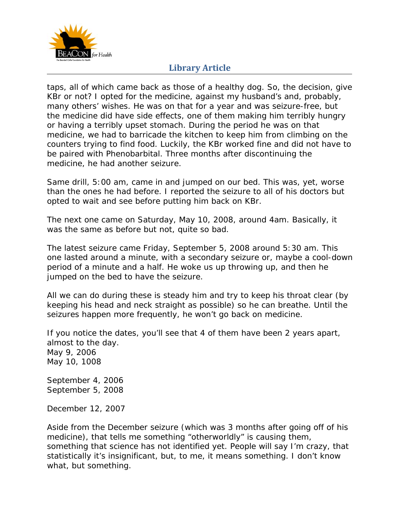

taps, all of which came back as those of a healthy dog. So, the decision, give KBr or not? I opted for the medicine, against my husband's and, probably, many others' wishes. He was on that for a year and was seizure-free, but the medicine did have side effects, one of them making him terribly hungry or having a terribly upset stomach. During the period he was on that medicine, we had to barricade the kitchen to keep him from climbing on the counters trying to find food. Luckily, the KBr worked fine and did not have to be paired with Phenobarbital. Three months after discontinuing the medicine, he had another seizure.

Same drill, 5:00 am, came in and jumped on our bed. This was, yet, worse than the ones he had before. I reported the seizure to all of his doctors but opted to wait and see before putting him back on KBr.

The next one came on Saturday, May 10, 2008, around 4am. Basically, it was the same as before but not, quite so bad.

The latest seizure came Friday, September 5, 2008 around 5:30 am. This one lasted around a minute, with a secondary seizure or, maybe a cool-down period of a minute and a half. He woke us up throwing up, and then he jumped on the bed to have the seizure.

All we can do during these is steady him and try to keep his throat clear (by keeping his head and neck straight as possible) so he can breathe. Until the seizures happen more frequently, he won't go back on medicine.

If you notice the dates, you'll see that 4 of them have been 2 years apart, almost to the day. May 9, 2006 May 10, 1008

September 4, 2006 September 5, 2008

December 12, 2007

Aside from the December seizure (which was 3 months after going off of his medicine), that tells me something "otherworldly" is causing them, something that science has not identified yet. People will say I'm crazy, that statistically it's insignificant, but, to me, it means something. I don't know what, but something.